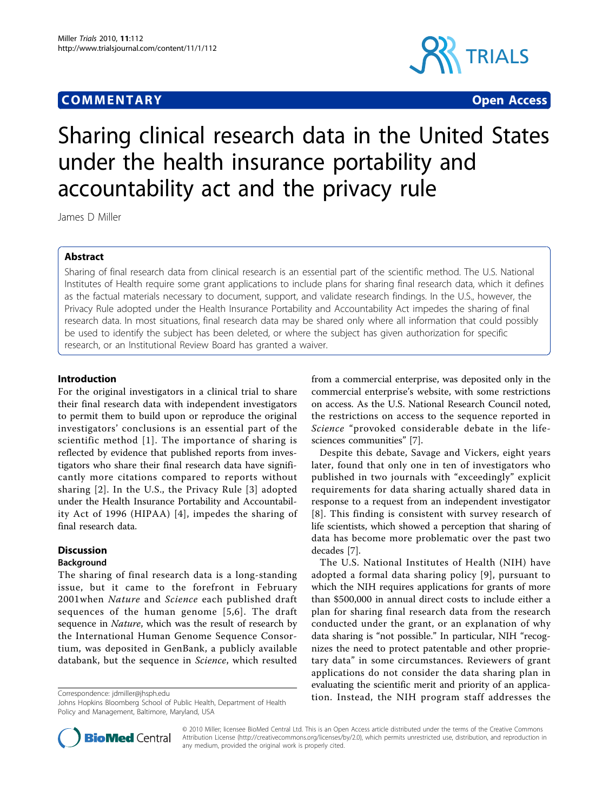# **COMMENTARY COMMENTARY Open Access**



# Sharing clinical research data in the United States under the health insurance portability and accountability act and the privacy rule

James D Miller

# Abstract

Sharing of final research data from clinical research is an essential part of the scientific method. The U.S. National Institutes of Health require some grant applications to include plans for sharing final research data, which it defines as the factual materials necessary to document, support, and validate research findings. In the U.S., however, the Privacy Rule adopted under the Health Insurance Portability and Accountability Act impedes the sharing of final research data. In most situations, final research data may be shared only where all information that could possibly be used to identify the subject has been deleted, or where the subject has given authorization for specific research, or an Institutional Review Board has granted a waiver.

# Introduction

For the original investigators in a clinical trial to share their final research data with independent investigators to permit them to build upon or reproduce the original investigators' conclusions is an essential part of the scientific method [[1](#page-3-0)]. The importance of sharing is reflected by evidence that published reports from investigators who share their final research data have significantly more citations compared to reports without sharing [[2](#page-3-0)]. In the U.S., the Privacy Rule [[3\]](#page-3-0) adopted under the Health Insurance Portability and Accountability Act of 1996 (HIPAA) [[4](#page-3-0)], impedes the sharing of final research data.

# **Discussion**

### Background

The sharing of final research data is a long-standing issue, but it came to the forefront in February 2001when Nature and Science each published draft sequences of the human genome [[5,6\]](#page-3-0). The draft sequence in *Nature*, which was the result of research by the International Human Genome Sequence Consortium, was deposited in GenBank, a publicly available databank, but the sequence in Science, which resulted

Johns Hopkins Bloomberg School of Public Health, Department of Health Policy and Management, Baltimore, Maryland, USA

from a commercial enterprise, was deposited only in the commercial enterprise's website, with some restrictions on access. As the U.S. National Research Council noted, the restrictions on access to the sequence reported in Science "provoked considerable debate in the lifesciences communities" [[7\]](#page-3-0).

Despite this debate, Savage and Vickers, eight years later, found that only one in ten of investigators who published in two journals with "exceedingly" explicit requirements for data sharing actually shared data in response to a request from an independent investigator [[8](#page-3-0)]. This finding is consistent with survey research of life scientists, which showed a perception that sharing of data has become more problematic over the past two decades [[7\]](#page-3-0).

The U.S. National Institutes of Health (NIH) have adopted a formal data sharing policy [[9](#page-3-0)], pursuant to which the NIH requires applications for grants of more than \$500,000 in annual direct costs to include either a plan for sharing final research data from the research conducted under the grant, or an explanation of why data sharing is "not possible." In particular, NIH "recognizes the need to protect patentable and other proprietary data" in some circumstances. Reviewers of grant applications do not consider the data sharing plan in evaluating the scientific merit and priority of an applicaCorrespondence: [jdmiller@jhsph.edu](mailto:jdmiller@jhsph.edu)<br>Libbes Unglise Plagethore School of Public Unglise Popertment of Unglise the Correspondence: jdmiller@jhsph.edu



© 2010 Miller; licensee BioMed Central Ltd. This is an Open Access article distributed under the terms of the Creative Commons Attribution License [\(http://creativecommons.org/licenses/by/2.0](http://creativecommons.org/licenses/by/2.0)), which permits unrestricted use, distribution, and reproduction in any medium, provided the original work is properly cited.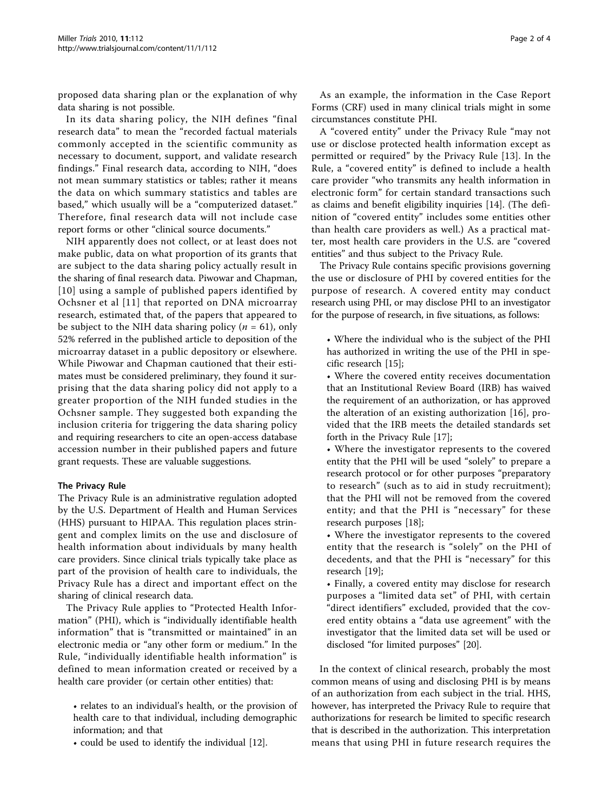proposed data sharing plan or the explanation of why data sharing is not possible.

In its data sharing policy, the NIH defines "final research data" to mean the "recorded factual materials commonly accepted in the scientific community as necessary to document, support, and validate research findings." Final research data, according to NIH, "does not mean summary statistics or tables; rather it means the data on which summary statistics and tables are based," which usually will be a "computerized dataset." Therefore, final research data will not include case report forms or other "clinical source documents."

NIH apparently does not collect, or at least does not make public, data on what proportion of its grants that are subject to the data sharing policy actually result in the sharing of final research data. Piwowar and Chapman, [[10\]](#page-3-0) using a sample of published papers identified by Ochsner et al [[11\]](#page-3-0) that reported on DNA microarray research, estimated that, of the papers that appeared to be subject to the NIH data sharing policy ( $n = 61$ ), only 52% referred in the published article to deposition of the microarray dataset in a public depository or elsewhere. While Piwowar and Chapman cautioned that their estimates must be considered preliminary, they found it surprising that the data sharing policy did not apply to a greater proportion of the NIH funded studies in the Ochsner sample. They suggested both expanding the inclusion criteria for triggering the data sharing policy and requiring researchers to cite an open-access database accession number in their published papers and future grant requests. These are valuable suggestions.

### The Privacy Rule

The Privacy Rule is an administrative regulation adopted by the U.S. Department of Health and Human Services (HHS) pursuant to HIPAA. This regulation places stringent and complex limits on the use and disclosure of health information about individuals by many health care providers. Since clinical trials typically take place as part of the provision of health care to individuals, the Privacy Rule has a direct and important effect on the sharing of clinical research data.

The Privacy Rule applies to "Protected Health Information" (PHI), which is "individually identifiable health information" that is "transmitted or maintained" in an electronic media or "any other form or medium." In the Rule, "individually identifiable health information" is defined to mean information created or received by a health care provider (or certain other entities) that:

As an example, the information in the Case Report Forms (CRF) used in many clinical trials might in some circumstances constitute PHI.

A "covered entity" under the Privacy Rule "may not use or disclose protected health information except as permitted or required" by the Privacy Rule [[13\]](#page-3-0). In the Rule, a "covered entity" is defined to include a health care provider "who transmits any health information in electronic form" for certain standard transactions such as claims and benefit eligibility inquiries [\[14](#page-3-0)]. (The definition of "covered entity" includes some entities other than health care providers as well.) As a practical matter, most health care providers in the U.S. are "covered entities" and thus subject to the Privacy Rule.

The Privacy Rule contains specific provisions governing the use or disclosure of PHI by covered entities for the purpose of research. A covered entity may conduct research using PHI, or may disclose PHI to an investigator for the purpose of research, in five situations, as follows:

• Where the individual who is the subject of the PHI has authorized in writing the use of the PHI in specific research [[15\]](#page-3-0);

- Where the covered entity receives documentation that an Institutional Review Board (IRB) has waived the requirement of an authorization, or has approved the alteration of an existing authorization [[16\]](#page-3-0), provided that the IRB meets the detailed standards set forth in the Privacy Rule [\[17](#page-3-0)];
- Where the investigator represents to the covered entity that the PHI will be used "solely" to prepare a research protocol or for other purposes "preparatory to research" (such as to aid in study recruitment); that the PHI will not be removed from the covered entity; and that the PHI is "necessary" for these research purposes [[18](#page-3-0)];
- Where the investigator represents to the covered entity that the research is "solely" on the PHI of decedents, and that the PHI is "necessary" for this research [[19\]](#page-3-0);
- Finally, a covered entity may disclose for research purposes a "limited data set" of PHI, with certain "direct identifiers" excluded, provided that the covered entity obtains a "data use agreement" with the investigator that the limited data set will be used or disclosed "for limited purposes" [\[20\]](#page-3-0).

In the context of clinical research, probably the most common means of using and disclosing PHI is by means of an authorization from each subject in the trial. HHS, however, has interpreted the Privacy Rule to require that authorizations for research be limited to specific research that is described in the authorization. This interpretation means that using PHI in future research requires the

<sup>•</sup> relates to an individual's health, or the provision of health care to that individual, including demographic information; and that

<sup>•</sup> could be used to identify the individual [[12](#page-3-0)].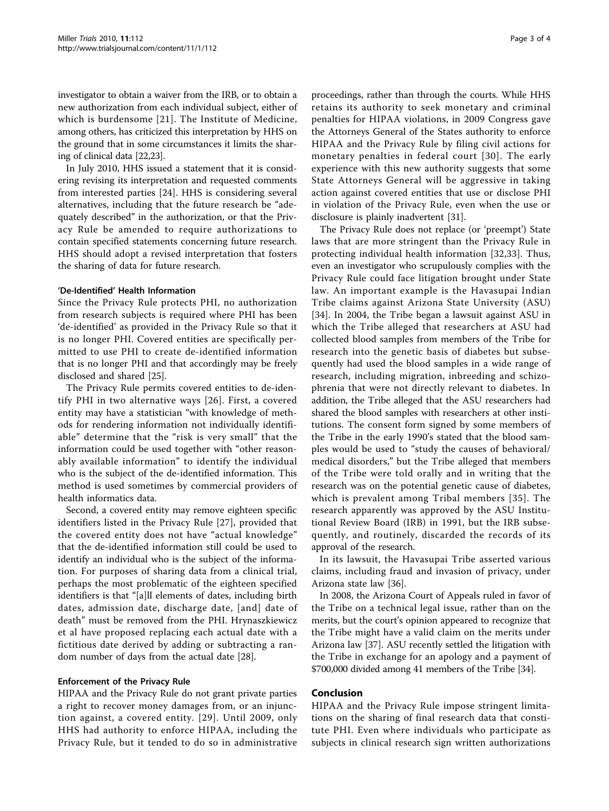investigator to obtain a waiver from the IRB, or to obtain a new authorization from each individual subject, either of which is burdensome [[21\]](#page-3-0). The Institute of Medicine, among others, has criticized this interpretation by HHS on the ground that in some circumstances it limits the sharing of clinical data [\[22,23](#page-3-0)].

In July 2010, HHS issued a statement that it is considering revising its interpretation and requested comments from interested parties [[24\]](#page-3-0). HHS is considering several alternatives, including that the future research be "adequately described" in the authorization, or that the Privacy Rule be amended to require authorizations to contain specified statements concerning future research. HHS should adopt a revised interpretation that fosters the sharing of data for future research.

### 'De-Identified' Health Information

Since the Privacy Rule protects PHI, no authorization from research subjects is required where PHI has been 'de-identified' as provided in the Privacy Rule so that it is no longer PHI. Covered entities are specifically permitted to use PHI to create de-identified information that is no longer PHI and that accordingly may be freely disclosed and shared [\[25\]](#page-3-0).

The Privacy Rule permits covered entities to de-identify PHI in two alternative ways [\[26\]](#page-3-0). First, a covered entity may have a statistician "with knowledge of methods for rendering information not individually identifiable" determine that the "risk is very small" that the information could be used together with "other reasonably available information" to identify the individual who is the subject of the de-identified information. This method is used sometimes by commercial providers of health informatics data.

Second, a covered entity may remove eighteen specific identifiers listed in the Privacy Rule [[27](#page-3-0)], provided that the covered entity does not have "actual knowledge" that the de-identified information still could be used to identify an individual who is the subject of the information. For purposes of sharing data from a clinical trial, perhaps the most problematic of the eighteen specified identifiers is that "[a]ll elements of dates, including birth dates, admission date, discharge date, [and] date of death" must be removed from the PHI. Hrynaszkiewicz et al have proposed replacing each actual date with a fictitious date derived by adding or subtracting a random number of days from the actual date [[28](#page-3-0)].

### Enforcement of the Privacy Rule

HIPAA and the Privacy Rule do not grant private parties a right to recover money damages from, or an injunction against, a covered entity. [[29](#page-3-0)]. Until 2009, only HHS had authority to enforce HIPAA, including the Privacy Rule, but it tended to do so in administrative

proceedings, rather than through the courts. While HHS retains its authority to seek monetary and criminal penalties for HIPAA violations, in 2009 Congress gave the Attorneys General of the States authority to enforce HIPAA and the Privacy Rule by filing civil actions for monetary penalties in federal court [[30](#page-3-0)]. The early experience with this new authority suggests that some State Attorneys General will be aggressive in taking action against covered entities that use or disclose PHI in violation of the Privacy Rule, even when the use or disclosure is plainly inadvertent [[31\]](#page-3-0).

The Privacy Rule does not replace (or 'preempt') State laws that are more stringent than the Privacy Rule in protecting individual health information [[32](#page-3-0),[33\]](#page-3-0). Thus, even an investigator who scrupulously complies with the Privacy Rule could face litigation brought under State law. An important example is the Havasupai Indian Tribe claims against Arizona State University (ASU) [[34\]](#page-3-0). In 2004, the Tribe began a lawsuit against ASU in which the Tribe alleged that researchers at ASU had collected blood samples from members of the Tribe for research into the genetic basis of diabetes but subsequently had used the blood samples in a wide range of research, including migration, inbreeding and schizophrenia that were not directly relevant to diabetes. In addition, the Tribe alleged that the ASU researchers had shared the blood samples with researchers at other institutions. The consent form signed by some members of the Tribe in the early 1990's stated that the blood samples would be used to "study the causes of behavioral/ medical disorders," but the Tribe alleged that members of the Tribe were told orally and in writing that the research was on the potential genetic cause of diabetes, which is prevalent among Tribal members [[35\]](#page-3-0). The research apparently was approved by the ASU Institutional Review Board (IRB) in 1991, but the IRB subsequently, and routinely, discarded the records of its approval of the research.

In its lawsuit, the Havasupai Tribe asserted various claims, including fraud and invasion of privacy, under Arizona state law [\[36](#page-3-0)].

In 2008, the Arizona Court of Appeals ruled in favor of the Tribe on a technical legal issue, rather than on the merits, but the court's opinion appeared to recognize that the Tribe might have a valid claim on the merits under Arizona law [\[37\]](#page-3-0). ASU recently settled the litigation with the Tribe in exchange for an apology and a payment of \$700,000 divided among 41 members of the Tribe [\[34](#page-3-0)].

# Conclusion

HIPAA and the Privacy Rule impose stringent limitations on the sharing of final research data that constitute PHI. Even where individuals who participate as subjects in clinical research sign written authorizations